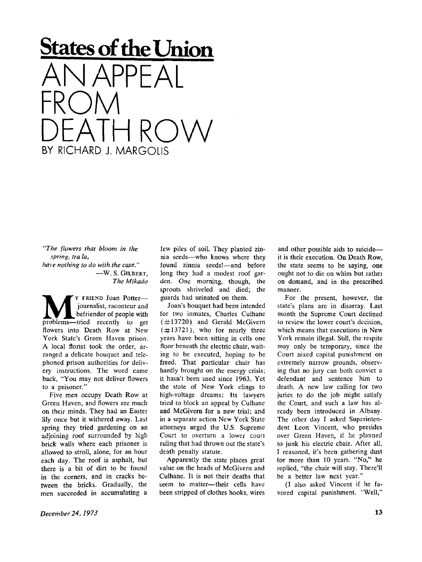

*"The flowers that bloom in the spring, tra la, have nothing to do with the case."*  — W . S. **GILBERT,**  *The Mikado* 

**M Property** FRIEND Joan Potter---<br>
befriender of people with<br>
problems—tried recently to get y **FRIEND** Joan Potter journalist, raconteur and befriender of people with flowers into Death Row at New York Slate's Green Haven prison. A local florist took the order, arranged a delicate bouquet and telephoned prison authorities for delivery instructions. The word came back, "You may not deliver flowers to a prisoner."

Five men occupy Death Row at Green Haven, and flowers are much on their minds. They had an Easter lily once but it withered away. Last spring they tried gardening on an adjoining roof surrounded by high brick walls where each prisoner is allowed to stroll, alone, for an hour each day. The roof is asphalt, but there is a bit of dirt to be found in the corners, and in cracks between the bricks. Gradually, the men succeeded in accumulating a

few piles of soil. They planted zinnia seeds—who knows where they found zinnia seeds!—and before long they had a modest roof garden. One morning, though, the sprouts shriveled and died; the guards had urinated on them.

Joan's bouquet had been intended for two inmates, Charles Culhane (#13720) and Gerald McGivern  $(\#13721)$ , who for nearly three years have been sitting in cells one floor beneath the electric chair, waiting to be executed, hoping to be freed. That particular chair has hardly brought on the energy crisis; it hasn't been used since 1963. Yet the state of New York clings to high-voltage dreams: Its lawyers tried to block an appeal by Culhane and McGivern for a new trial; and in a separate action New York State attorneys urged the U.S. Supreme Court to overturn a lower court ruling that had thrown out the state's death penalty statute.

Apparently the state places great value on the heads of McGivern and Culhane. It is not their deaths that seem to matter—their cells have been stripped of clothes hooks, wires

and other possible aids to suicide it is their execution. On Death Row, the state seems to be saying, one ought not to die on whim but rather on demand, and in the prescribed manner.

For the present, however, the state's plans are in disarray. Last month the Supreme Court declined to review the lower court's decision, which means that executions in New York remain illegal. Still, the respite may only be temporary, since the Court nixed capital punishment on extremely narrow grounds, observing that no jury can both convict a defendant and sentence him to death. A new law calling for two juries to do the job might satisfy the Court, and such a law has already been introduced in Albany. The other day I asked Superintendent Leon Vincent, who presides over Green Haven, if he planned to junk his electric chair. After all, I reasoned, it's been gathering dust for more than 10 years. "No," he replied, "the chair will stay. There'll be a better law next year."

(I also asked Vincent if he favored capital punishment. "Well,"